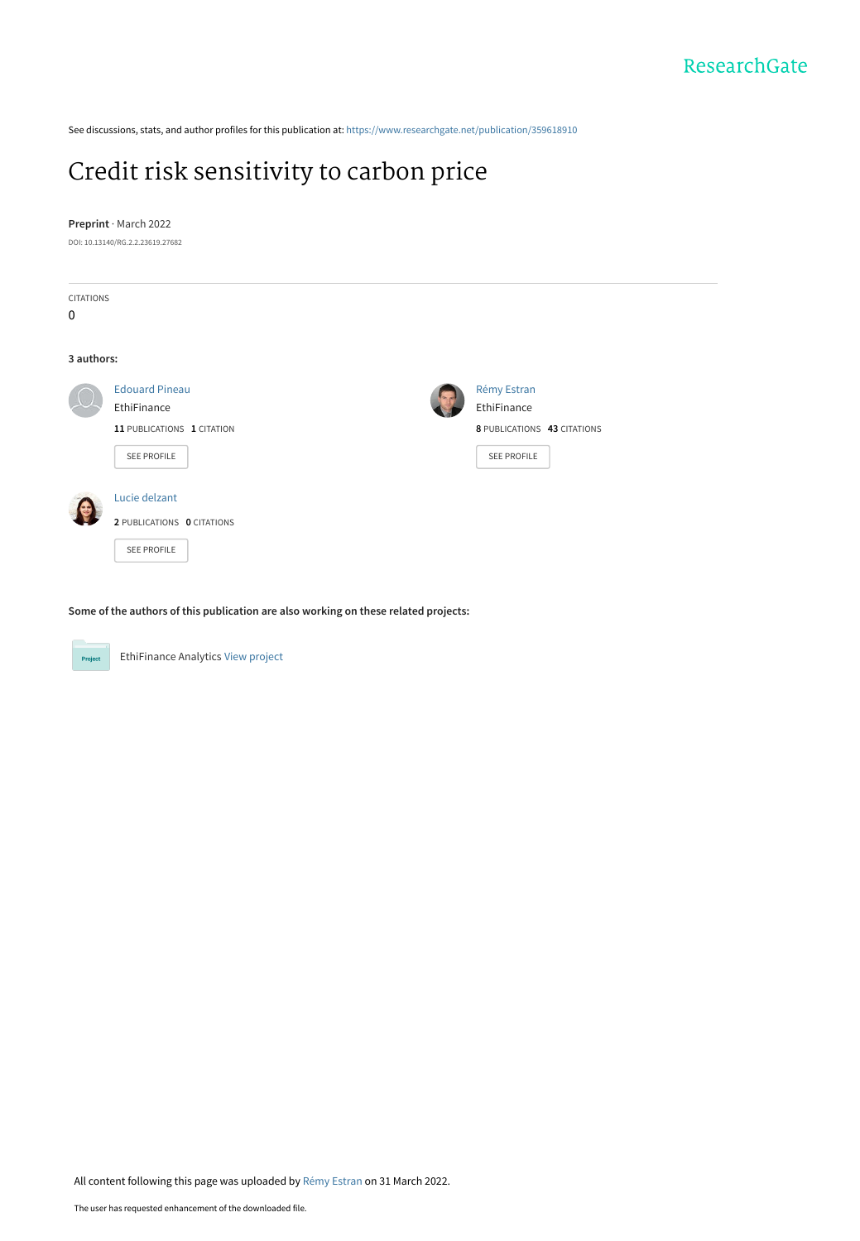See discussions, stats, and author profiles for this publication at: [https://www.researchgate.net/publication/359618910](https://www.researchgate.net/publication/359618910_Credit_risk_sensitivity_to_carbon_price?enrichId=rgreq-29b05dbc06cf65ed21ea883a9a9beea0-XXX&enrichSource=Y292ZXJQYWdlOzM1OTYxODkxMDtBUzoxMTM5NjUzMDY3NDQ4MzIwQDE2NDg3MjU4NzMwMDY%3D&el=1_x_2&_esc=publicationCoverPdf)

# [Credit risk sensitivity to carbon price](https://www.researchgate.net/publication/359618910_Credit_risk_sensitivity_to_carbon_price?enrichId=rgreq-29b05dbc06cf65ed21ea883a9a9beea0-XXX&enrichSource=Y292ZXJQYWdlOzM1OTYxODkxMDtBUzoxMTM5NjUzMDY3NDQ4MzIwQDE2NDg3MjU4NzMwMDY%3D&el=1_x_3&_esc=publicationCoverPdf)

#### **Preprint** · March 2022

DOI: 10.13140/RG.2.2.23619.27682

| CITATIONS<br>$\mathbf 0$                                  |  |
|-----------------------------------------------------------|--|
|                                                           |  |
|                                                           |  |
|                                                           |  |
| 3 authors:                                                |  |
| Rémy Estran<br><b>Edouard Pineau</b>                      |  |
| EthiFinance<br>EthiFinance                                |  |
| 11 PUBLICATIONS 1 CITATION<br>8 PUBLICATIONS 43 CITATIONS |  |
| <b>SEE PROFILE</b><br>SEE PROFILE                         |  |
|                                                           |  |
| Lucie delzant                                             |  |
| 2 PUBLICATIONS 0 CITATIONS                                |  |
| <b>SEE PROFILE</b>                                        |  |

**Some of the authors of this publication are also working on these related projects:**



EthiFinance Analytics [View project](https://www.researchgate.net/project/EthiFinance-Analytics?enrichId=rgreq-29b05dbc06cf65ed21ea883a9a9beea0-XXX&enrichSource=Y292ZXJQYWdlOzM1OTYxODkxMDtBUzoxMTM5NjUzMDY3NDQ4MzIwQDE2NDg3MjU4NzMwMDY%3D&el=1_x_9&_esc=publicationCoverPdf)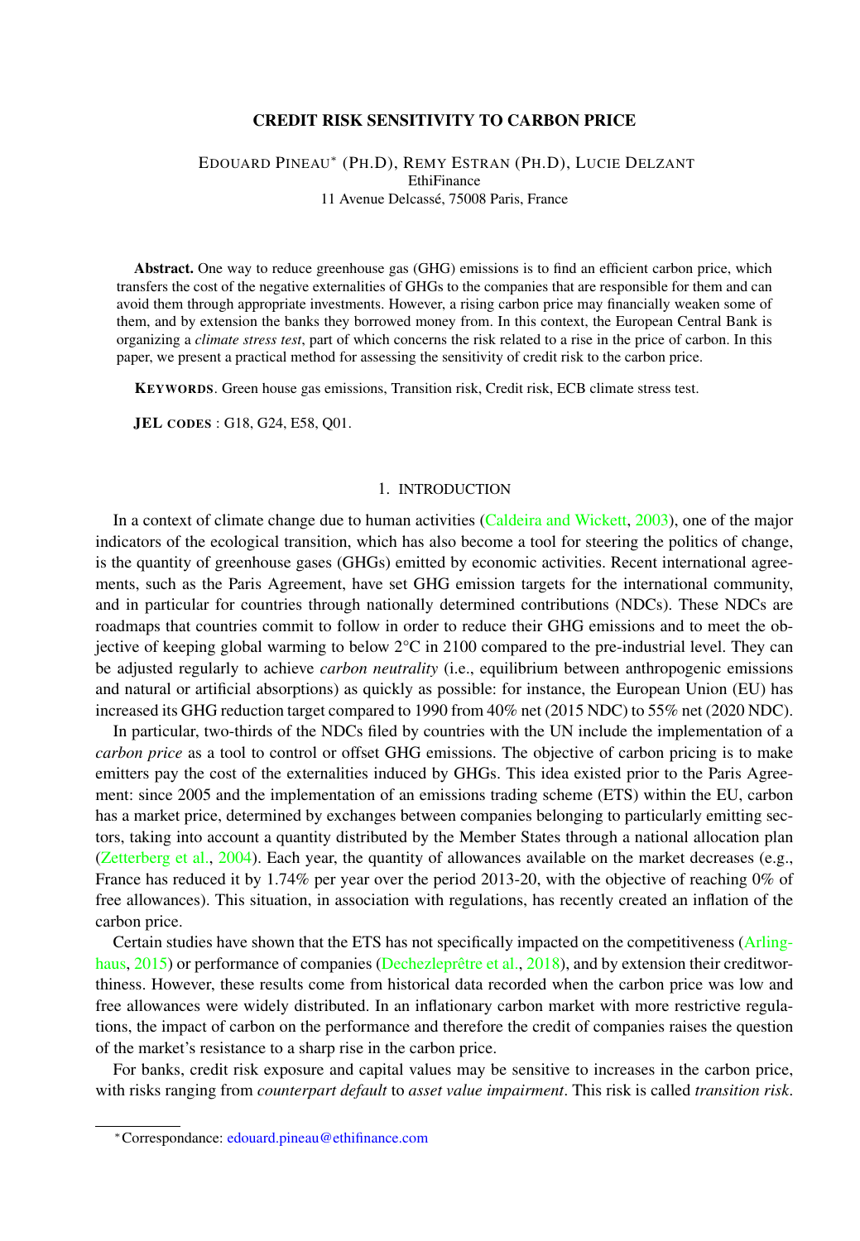## CREDIT RISK SENSITIVITY TO CARBON PRICE

## EDOUARD PINEAU<sup>∗</sup> (PH.D), REMY ESTRAN (PH.D), LUCIE DELZANT **EthiFinance** 11 Avenue Delcassé, 75008 Paris, France

Abstract. One way to reduce greenhouse gas (GHG) emissions is to find an efficient carbon price, which transfers the cost of the negative externalities of GHGs to the companies that are responsible for them and can avoid them through appropriate investments. However, a rising carbon price may financially weaken some of them, and by extension the banks they borrowed money from. In this context, the European Central Bank is organizing a *climate stress test*, part of which concerns the risk related to a rise in the price of carbon. In this paper, we present a practical method for assessing the sensitivity of credit risk to the carbon price.

KEYWORDS. Green house gas emissions, Transition risk, Credit risk, ECB climate stress test.

JEL CODES : G18, G24, E58, Q01.

## 1. INTRODUCTION

In a context of climate change due to human activities [\(Caldeira and Wickett,](#page-9-0) [2003\)](#page-9-0), one of the major indicators of the ecological transition, which has also become a tool for steering the politics of change, is the quantity of greenhouse gases (GHGs) emitted by economic activities. Recent international agreements, such as the Paris Agreement, have set GHG emission targets for the international community, and in particular for countries through nationally determined contributions (NDCs). These NDCs are roadmaps that countries commit to follow in order to reduce their GHG emissions and to meet the objective of keeping global warming to below  $2^{\circ}C$  in 2100 compared to the pre-industrial level. They can be adjusted regularly to achieve *carbon neutrality* (i.e., equilibrium between anthropogenic emissions and natural or artificial absorptions) as quickly as possible: for instance, the European Union (EU) has increased its GHG reduction target compared to 1990 from 40% net (2015 NDC) to 55% net (2020 NDC).

In particular, two-thirds of the NDCs filed by countries with the UN include the implementation of a *carbon price* as a tool to control or offset GHG emissions. The objective of carbon pricing is to make emitters pay the cost of the externalities induced by GHGs. This idea existed prior to the Paris Agreement: since 2005 and the implementation of an emissions trading scheme (ETS) within the EU, carbon has a market price, determined by exchanges between companies belonging to particularly emitting sectors, taking into account a quantity distributed by the Member States through a national allocation plan [\(Zetterberg et al.,](#page-9-1) [2004\)](#page-9-1). Each year, the quantity of allowances available on the market decreases (e.g., France has reduced it by 1.74% per year over the period 2013-20, with the objective of reaching 0% of free allowances). This situation, in association with regulations, has recently created an inflation of the carbon price.

Certain studies have shown that the ETS has not specifically impacted on the competitiveness [\(Arling](#page-9-2)[haus,](#page-9-2) [2015\)](#page-9-2) or performance of companies [\(Dechezleprêtre et al.,](#page-9-3) [2018\)](#page-9-3), and by extension their creditworthiness. However, these results come from historical data recorded when the carbon price was low and free allowances were widely distributed. In an inflationary carbon market with more restrictive regulations, the impact of carbon on the performance and therefore the credit of companies raises the question of the market's resistance to a sharp rise in the carbon price.

For banks, credit risk exposure and capital values may be sensitive to increases in the carbon price, with risks ranging from *counterpart default* to *asset value impairment*. This risk is called *transition risk*.

<sup>∗</sup>Correspondance: [edouard.pineau@ethifinance.com](edouard.pineau@qivalio.com)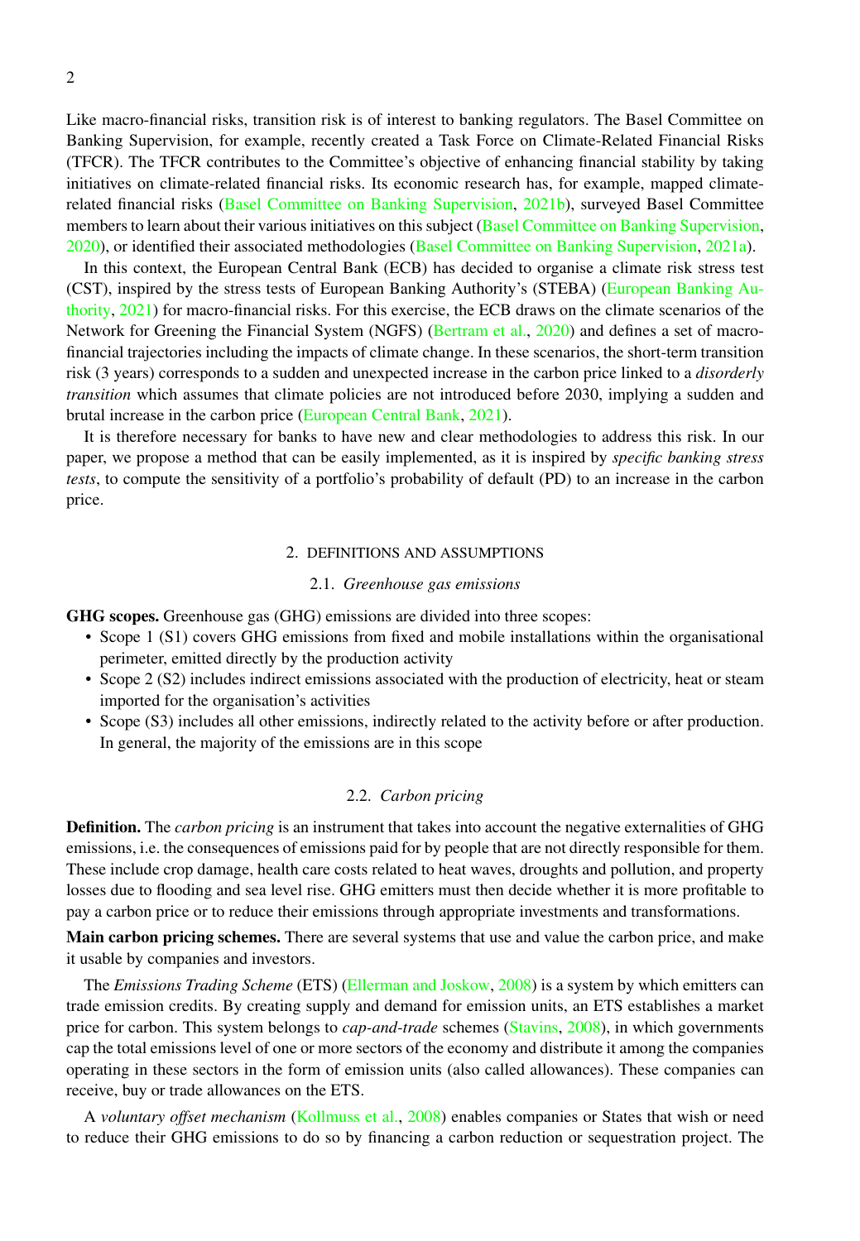Like macro-financial risks, transition risk is of interest to banking regulators. The Basel Committee on Banking Supervision, for example, recently created a Task Force on Climate-Related Financial Risks (TFCR). The TFCR contributes to the Committee's objective of enhancing financial stability by taking initiatives on climate-related financial risks. Its economic research has, for example, mapped climaterelated financial risks [\(Basel Committee on Banking Supervision,](#page-9-4) [2021b\)](#page-9-4), surveyed Basel Committee members to learn about their various initiatives on this subject [\(Basel Committee on Banking Supervision,](#page-9-5) [2020\)](#page-9-5), or identified their associated methodologies [\(Basel Committee on Banking Supervision,](#page-9-6) [2021a\)](#page-9-6).

In this context, the European Central Bank (ECB) has decided to organise a climate risk stress test (CST), inspired by the stress tests of European Banking Authority's (STEBA) [\(European Banking Au](#page-9-7)[thority,](#page-9-7) [2021\)](#page-9-7) for macro-financial risks. For this exercise, the ECB draws on the climate scenarios of the Network for Greening the Financial System (NGFS) [\(Bertram et al.,](#page-9-8) [2020\)](#page-9-8) and defines a set of macrofinancial trajectories including the impacts of climate change. In these scenarios, the short-term transition risk (3 years) corresponds to a sudden and unexpected increase in the carbon price linked to a *disorderly transition* which assumes that climate policies are not introduced before 2030, implying a sudden and brutal increase in the carbon price [\(European Central Bank,](#page-9-9) [2021\)](#page-9-9).

It is therefore necessary for banks to have new and clear methodologies to address this risk. In our paper, we propose a method that can be easily implemented, as it is inspired by *specific banking stress tests*, to compute the sensitivity of a portfolio's probability of default (PD) to an increase in the carbon price.

# 2. DEFINITIONS AND ASSUMPTIONS

### 2.1. *Greenhouse gas emissions*

GHG scopes. Greenhouse gas (GHG) emissions are divided into three scopes:

- Scope 1 (S1) covers GHG emissions from fixed and mobile installations within the organisational perimeter, emitted directly by the production activity
- Scope 2 (S2) includes indirect emissions associated with the production of electricity, heat or steam imported for the organisation's activities
- Scope (S3) includes all other emissions, indirectly related to the activity before or after production. In general, the majority of the emissions are in this scope

### 2.2. *Carbon pricing*

Definition. The *carbon pricing* is an instrument that takes into account the negative externalities of GHG emissions, i.e. the consequences of emissions paid for by people that are not directly responsible for them. These include crop damage, health care costs related to heat waves, droughts and pollution, and property losses due to flooding and sea level rise. GHG emitters must then decide whether it is more profitable to pay a carbon price or to reduce their emissions through appropriate investments and transformations.

**Main carbon pricing schemes.** There are several systems that use and value the carbon price, and make it usable by companies and investors.

The *Emissions Trading Scheme* (ETS) [\(Ellerman and Joskow,](#page-9-10) [2008\)](#page-9-10) is a system by which emitters can trade emission credits. By creating supply and demand for emission units, an ETS establishes a market price for carbon. This system belongs to *cap-and-trade* schemes [\(Stavins,](#page-9-11) [2008\)](#page-9-11), in which governments cap the total emissions level of one or more sectors of the economy and distribute it among the companies operating in these sectors in the form of emission units (also called allowances). These companies can receive, buy or trade allowances on the ETS.

A *voluntary offset mechanism* [\(Kollmuss et al.,](#page-9-12) [2008\)](#page-9-12) enables companies or States that wish or need to reduce their GHG emissions to do so by financing a carbon reduction or sequestration project. The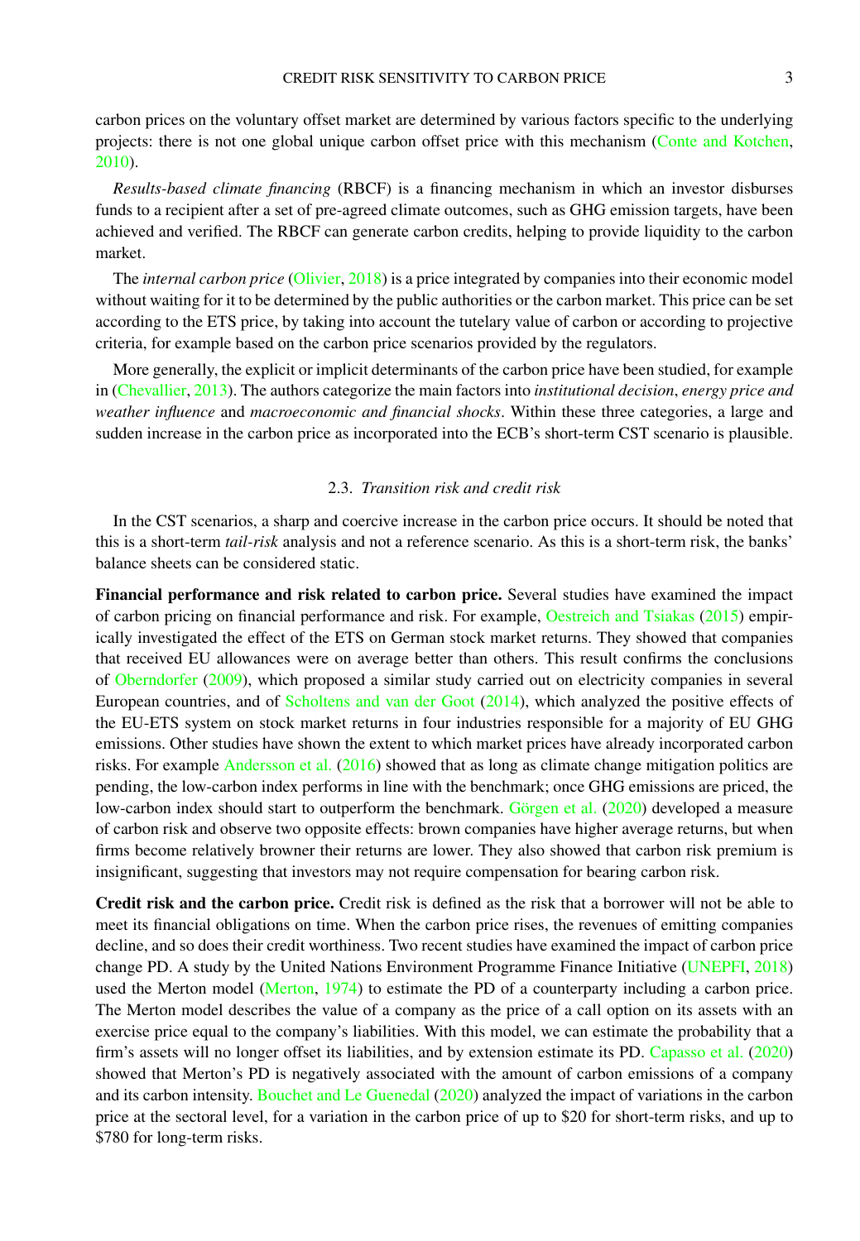carbon prices on the voluntary offset market are determined by various factors specific to the underlying projects: there is not one global unique carbon offset price with this mechanism [\(Conte and Kotchen,](#page-9-13) [2010\)](#page-9-13).

*Results-based climate financing* (RBCF) is a financing mechanism in which an investor disburses funds to a recipient after a set of pre-agreed climate outcomes, such as GHG emission targets, have been achieved and verified. The RBCF can generate carbon credits, helping to provide liquidity to the carbon market.

The *internal carbon price* [\(Olivier,](#page-9-14) [2018\)](#page-9-14) is a price integrated by companies into their economic model without waiting for it to be determined by the public authorities or the carbon market. This price can be set according to the ETS price, by taking into account the tutelary value of carbon or according to projective criteria, for example based on the carbon price scenarios provided by the regulators.

More generally, the explicit or implicit determinants of the carbon price have been studied, for example in [\(Chevallier,](#page-9-15) [2013\)](#page-9-15). The authors categorize the main factors into *institutional decision*, *energy price and weather influence* and *macroeconomic and financial shocks*. Within these three categories, a large and sudden increase in the carbon price as incorporated into the ECB's short-term CST scenario is plausible.

## 2.3. *Transition risk and credit risk*

In the CST scenarios, a sharp and coercive increase in the carbon price occurs. It should be noted that this is a short-term *tail-risk* analysis and not a reference scenario. As this is a short-term risk, the banks' balance sheets can be considered static.

Financial performance and risk related to carbon price. Several studies have examined the impact of carbon pricing on financial performance and risk. For example, [Oestreich and Tsiakas](#page-9-16) [\(2015\)](#page-9-16) empirically investigated the effect of the ETS on German stock market returns. They showed that companies that received EU allowances were on average better than others. This result confirms the conclusions of [Oberndorfer](#page-9-17) [\(2009\)](#page-9-17), which proposed a similar study carried out on electricity companies in several European countries, and of [Scholtens and van der Goot](#page-9-18) [\(2014\)](#page-9-18), which analyzed the positive effects of the EU-ETS system on stock market returns in four industries responsible for a majority of EU GHG emissions. Other studies have shown the extent to which market prices have already incorporated carbon risks. For example [Andersson et al.](#page-9-19) [\(2016\)](#page-9-19) showed that as long as climate change mitigation politics are pending, the low-carbon index performs in line with the benchmark; once GHG emissions are priced, the low-carbon index should start to outperform the benchmark. [Görgen et al.](#page-9-20) [\(2020\)](#page-9-20) developed a measure of carbon risk and observe two opposite effects: brown companies have higher average returns, but when firms become relatively browner their returns are lower. They also showed that carbon risk premium is insignificant, suggesting that investors may not require compensation for bearing carbon risk.

Credit risk and the carbon price. Credit risk is defined as the risk that a borrower will not be able to meet its financial obligations on time. When the carbon price rises, the revenues of emitting companies decline, and so does their credit worthiness. Two recent studies have examined the impact of carbon price change PD. A study by the United Nations Environment Programme Finance Initiative [\(UNEPFI,](#page-9-21) [2018\)](#page-9-21) used the Merton model [\(Merton,](#page-9-22) [1974\)](#page-9-22) to estimate the PD of a counterparty including a carbon price. The Merton model describes the value of a company as the price of a call option on its assets with an exercise price equal to the company's liabilities. With this model, we can estimate the probability that a firm's assets will no longer offset its liabilities, and by extension estimate its PD. [Capasso et al.](#page-9-23) [\(2020\)](#page-9-23) showed that Merton's PD is negatively associated with the amount of carbon emissions of a company and its carbon intensity. [Bouchet and Le Guenedal](#page-9-24) [\(2020\)](#page-9-24) analyzed the impact of variations in the carbon price at the sectoral level, for a variation in the carbon price of up to \$20 for short-term risks, and up to \$780 for long-term risks.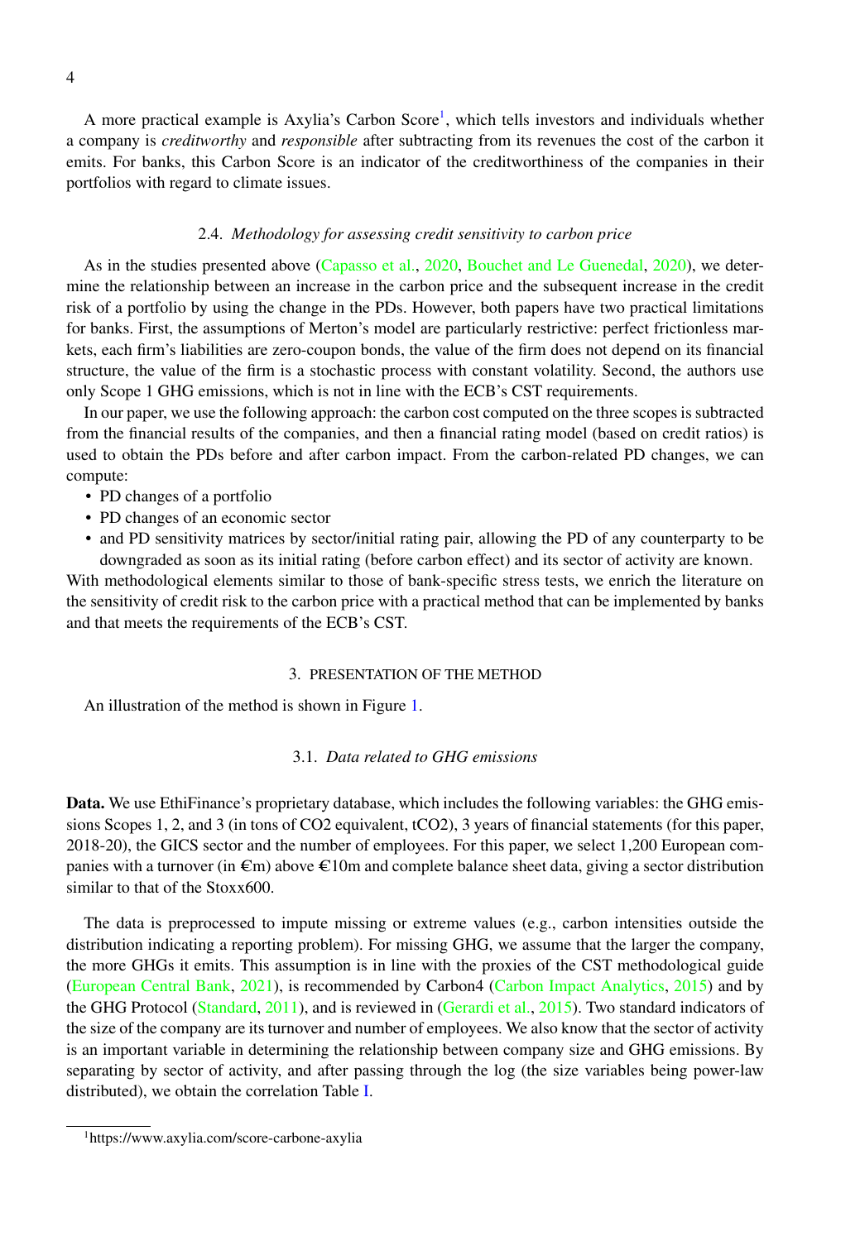A more practical example is Axylia's Carbon Score<sup>[1](#page-4-0)</sup>, which tells investors and individuals whether a company is *creditworthy* and *responsible* after subtracting from its revenues the cost of the carbon it emits. For banks, this Carbon Score is an indicator of the creditworthiness of the companies in their portfolios with regard to climate issues.

#### 2.4. *Methodology for assessing credit sensitivity to carbon price*

As in the studies presented above [\(Capasso et al.,](#page-9-23) [2020,](#page-9-23) [Bouchet and Le Guenedal,](#page-9-24) [2020\)](#page-9-24), we determine the relationship between an increase in the carbon price and the subsequent increase in the credit risk of a portfolio by using the change in the PDs. However, both papers have two practical limitations for banks. First, the assumptions of Merton's model are particularly restrictive: perfect frictionless markets, each firm's liabilities are zero-coupon bonds, the value of the firm does not depend on its financial structure, the value of the firm is a stochastic process with constant volatility. Second, the authors use only Scope 1 GHG emissions, which is not in line with the ECB's CST requirements.

In our paper, we use the following approach: the carbon cost computed on the three scopes is subtracted from the financial results of the companies, and then a financial rating model (based on credit ratios) is used to obtain the PDs before and after carbon impact. From the carbon-related PD changes, we can compute:

- PD changes of a portfolio
- PD changes of an economic sector
- and PD sensitivity matrices by sector/initial rating pair, allowing the PD of any counterparty to be downgraded as soon as its initial rating (before carbon effect) and its sector of activity are known.

With methodological elements similar to those of bank-specific stress tests, we enrich the literature on the sensitivity of credit risk to the carbon price with a practical method that can be implemented by banks and that meets the requirements of the ECB's CST.

## 3. PRESENTATION OF THE METHOD

An illustration of the method is shown in Figure [1.](#page-5-0)

# 3.1. *Data related to GHG emissions*

Data. We use EthiFinance's proprietary database, which includes the following variables: the GHG emissions Scopes 1, 2, and 3 (in tons of CO2 equivalent, tCO2), 3 years of financial statements (for this paper, 2018-20), the GICS sector and the number of employees. For this paper, we select 1,200 European companies with a turnover (in  $\epsilon$ m) above  $\epsilon$ 10m and complete balance sheet data, giving a sector distribution similar to that of the Stoxx600.

The data is preprocessed to impute missing or extreme values (e.g., carbon intensities outside the distribution indicating a reporting problem). For missing GHG, we assume that the larger the company, the more GHGs it emits. This assumption is in line with the proxies of the CST methodological guide [\(European Central Bank,](#page-9-9) [2021\)](#page-9-9), is recommended by Carbon4 [\(Carbon Impact Analytics,](#page-9-25) [2015\)](#page-9-25) and by the GHG Protocol [\(Standard,](#page-9-26) [2011\)](#page-9-26), and is reviewed in [\(Gerardi et al.,](#page-9-27) [2015\)](#page-9-27). Two standard indicators of the size of the company are its turnover and number of employees. We also know that the sector of activity is an important variable in determining the relationship between company size and GHG emissions. By separating by sector of activity, and after passing through the log (the size variables being power-law distributed), we obtain the correlation Table [I.](#page-5-1)

<span id="page-4-0"></span><sup>1</sup>https://www.axylia.com/score-carbone-axylia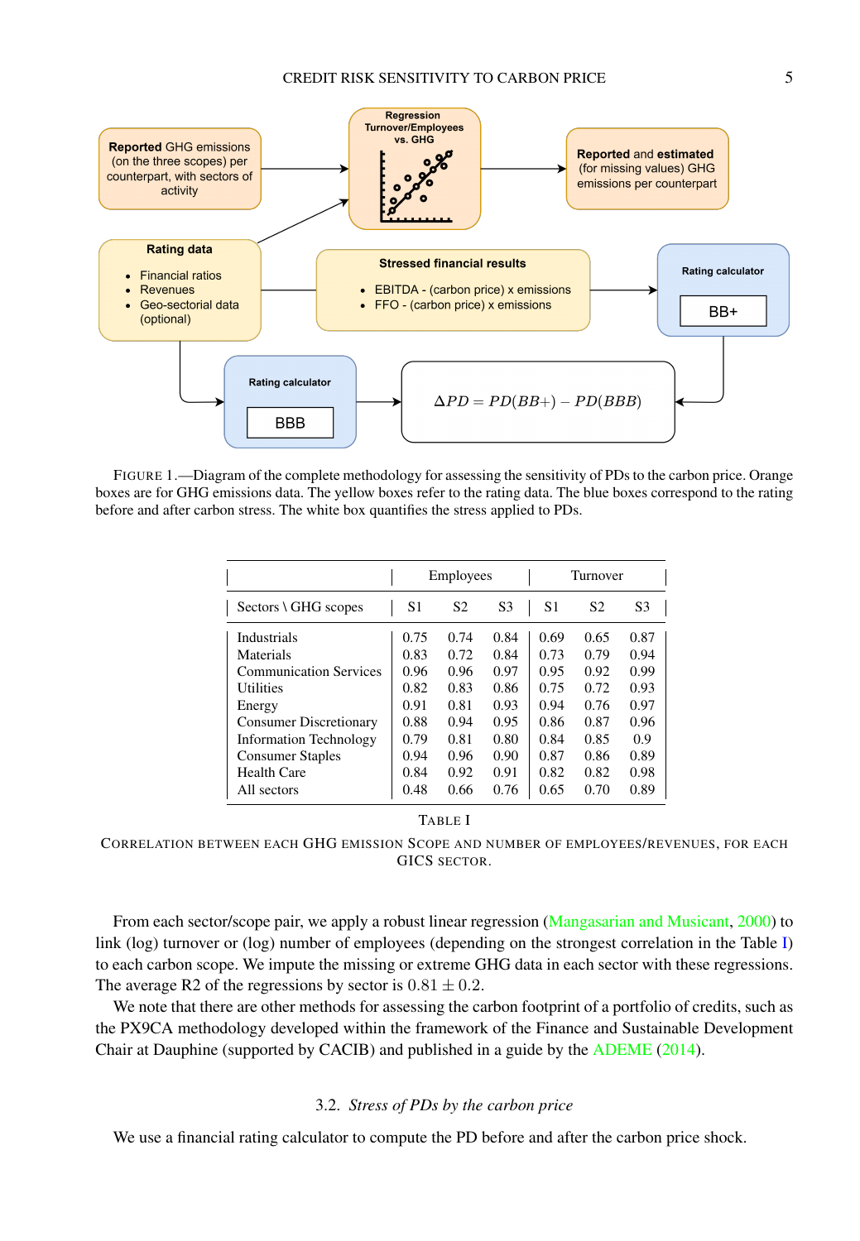<span id="page-5-0"></span>

<span id="page-5-1"></span>FIGURE 1.—Diagram of the complete methodology for assessing the sensitivity of PDs to the carbon price. Orange boxes are for GHG emissions data. The yellow boxes refer to the rating data. The blue boxes correspond to the rating before and after carbon stress. The white box quantifies the stress applied to PDs.

|                                |      | Employees      |                | Turnover |                |                |  |  |  |
|--------------------------------|------|----------------|----------------|----------|----------------|----------------|--|--|--|
| $Sectors \setminus GHG$ scopes | S1   | S <sub>2</sub> | S <sub>3</sub> | S1       | S <sub>2</sub> | S <sub>3</sub> |  |  |  |
| Industrials                    | 0.75 | 0.74           | 0.84           | 0.69     | 0.65           | 0.87           |  |  |  |
| Materials                      | 0.83 | 0.72           | 0.84           | 0.73     | 0.79           | 0.94           |  |  |  |
| <b>Communication Services</b>  | 0.96 | 0.96           | 0.97           | 0.95     | 0.92           | 0.99           |  |  |  |
| <b>Utilities</b>               | 0.82 | 0.83           | 0.86           | 0.75     | 0.72           | 0.93           |  |  |  |
| Energy                         | 0.91 | 0.81           | 0.93           | 0.94     | 0.76           | 0.97           |  |  |  |
| <b>Consumer Discretionary</b>  | 0.88 | 0.94           | 0.95           | 0.86     | 0.87           | 0.96           |  |  |  |
| <b>Information Technology</b>  | 0.79 | 0.81           | 0.80           | 0.84     | 0.85           | 0.9            |  |  |  |
| <b>Consumer Staples</b>        | 0.94 | 0.96           | 0.90           | 0.87     | 0.86           | 0.89           |  |  |  |
| Health Care                    | 0.84 | 0.92           | 0.91           | 0.82     | 0.82           | 0.98           |  |  |  |
| All sectors                    | 0.48 | 0.66           | 0.76           | 0.65     | 0.70           | 0.89           |  |  |  |

# TABLE I

CORRELATION BETWEEN EACH GHG EMISSION SCOPE AND NUMBER OF EMPLOYEES/REVENUES, FOR EACH GICS SECTOR.

From each sector/scope pair, we apply a robust linear regression [\(Mangasarian and Musicant,](#page-9-28) [2000\)](#page-9-28) to link (log) turnover or (log) number of employees (depending on the strongest correlation in the Table [I\)](#page-5-1) to each carbon scope. We impute the missing or extreme GHG data in each sector with these regressions. The average R2 of the regressions by sector is  $0.81 \pm 0.2$ .

We note that there are other methods for assessing the carbon footprint of a portfolio of credits, such as the PX9CA methodology developed within the framework of the Finance and Sustainable Development Chair at Dauphine (supported by CACIB) and published in a guide by the [ADEME](#page-9-29) [\(2014\)](#page-9-29).

## 3.2. *Stress of PDs by the carbon price*

We use a financial rating calculator to compute the PD before and after the carbon price shock.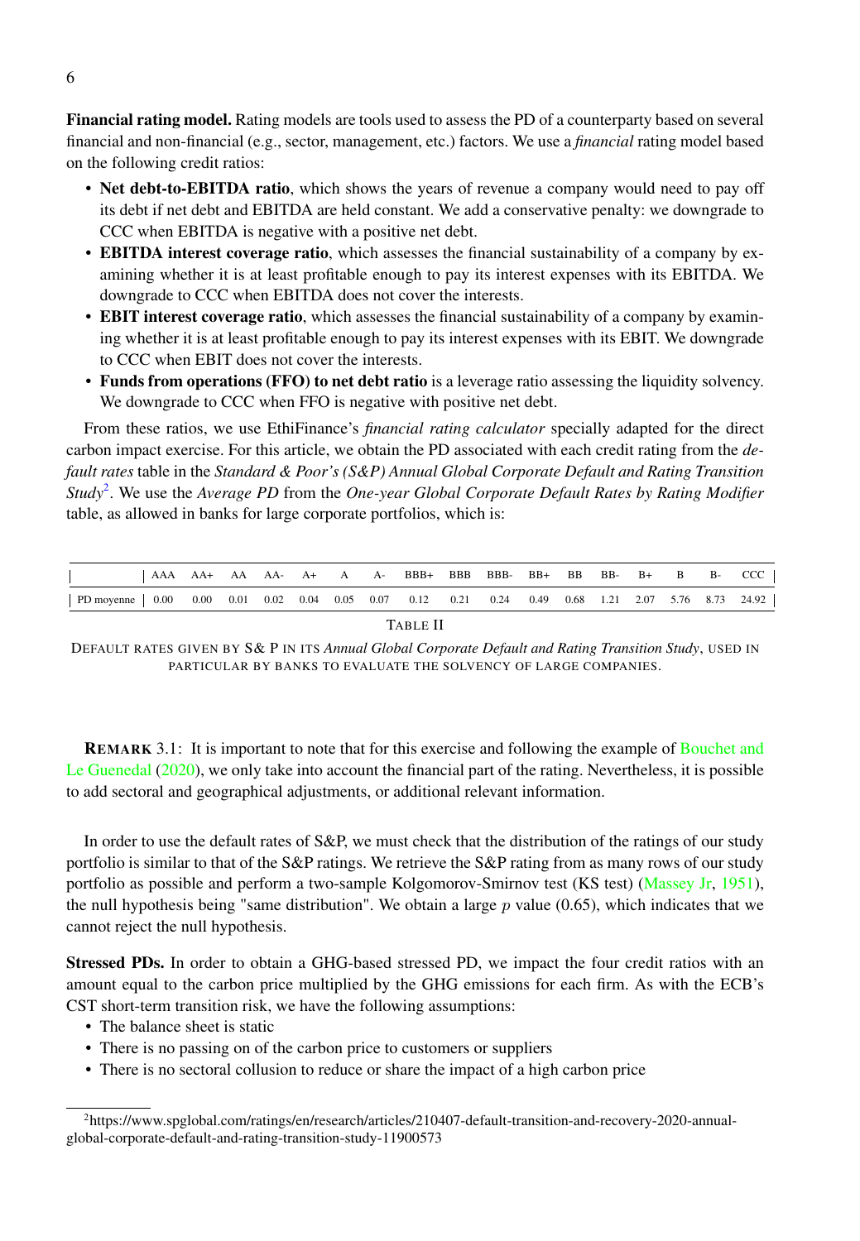Financial rating model. Rating models are tools used to assess the PD of a counterparty based on several financial and non-financial (e.g., sector, management, etc.) factors. We use a *financial* rating model based on the following credit ratios:

- Net debt-to-EBITDA ratio, which shows the years of revenue a company would need to pay off its debt if net debt and EBITDA are held constant. We add a conservative penalty: we downgrade to CCC when EBITDA is negative with a positive net debt.
- **EBITDA interest coverage ratio**, which assesses the financial sustainability of a company by examining whether it is at least profitable enough to pay its interest expenses with its EBITDA. We downgrade to CCC when EBITDA does not cover the interests.
- **EBIT interest coverage ratio**, which assesses the financial sustainability of a company by examining whether it is at least profitable enough to pay its interest expenses with its EBIT. We downgrade to CCC when EBIT does not cover the interests.
- Funds from operations (FFO) to net debt ratio is a leverage ratio assessing the liquidity solvency. We downgrade to CCC when FFO is negative with positive net debt.

From these ratios, we use EthiFinance's *financial rating calculator* specially adapted for the direct carbon impact exercise. For this article, we obtain the PD associated with each credit rating from the *default rates* table in the *Standard & Poor's (S&P) Annual Global Corporate Default and Rating Transition Study*[2](#page-6-0) . We use the *Average PD* from the *One-year Global Corporate Default Rates by Rating Modifier* table, as allowed in banks for large corporate portfolios, which is:

<span id="page-6-1"></span>

|                                                                                                                    |  |  |  |  |  |  |  | $AAA$ $AA+AA$ $AA-AA A+AA$ $A-BBB+BBB$ $BBB BB+BB$ $BB BB BF B B CCC$ |  |  |  |  |  |  |  |
|--------------------------------------------------------------------------------------------------------------------|--|--|--|--|--|--|--|-----------------------------------------------------------------------|--|--|--|--|--|--|--|
| PD moyenne   0.00  0.00  0.01  0.02  0.04  0.05  0.07  0.12  0.21  0.24  0.49  0.68  1.21  2.07  5.76  8.73  24.92 |  |  |  |  |  |  |  |                                                                       |  |  |  |  |  |  |  |
| TABLE II                                                                                                           |  |  |  |  |  |  |  |                                                                       |  |  |  |  |  |  |  |

DEFAULT RATES GIVEN BY S& P IN ITS *Annual Global Corporate Default and Rating Transition Study*, USED IN PARTICULAR BY BANKS TO EVALUATE THE SOLVENCY OF LARGE COMPANIES.

REMARK 3.1: It is important to note that for this exercise and following the example of [Bouchet and](#page-9-24) [Le Guenedal](#page-9-24) [\(2020\)](#page-9-24), we only take into account the financial part of the rating. Nevertheless, it is possible to add sectoral and geographical adjustments, or additional relevant information.

In order to use the default rates of S&P, we must check that the distribution of the ratings of our study portfolio is similar to that of the S&P ratings. We retrieve the S&P rating from as many rows of our study portfolio as possible and perform a two-sample Kolgomorov-Smirnov test (KS test) [\(Massey Jr,](#page-9-30) [1951\)](#page-9-30), the null hypothesis being "same distribution". We obtain a large  $p$  value (0.65), which indicates that we cannot reject the null hypothesis.

Stressed PDs. In order to obtain a GHG-based stressed PD, we impact the four credit ratios with an amount equal to the carbon price multiplied by the GHG emissions for each firm. As with the ECB's CST short-term transition risk, we have the following assumptions:

- The balance sheet is static
- There is no passing on of the carbon price to customers or suppliers
- There is no sectoral collusion to reduce or share the impact of a high carbon price

<span id="page-6-0"></span><sup>2</sup>https://www.spglobal.com/ratings/en/research/articles/210407-default-transition-and-recovery-2020-annualglobal-corporate-default-and-rating-transition-study-11900573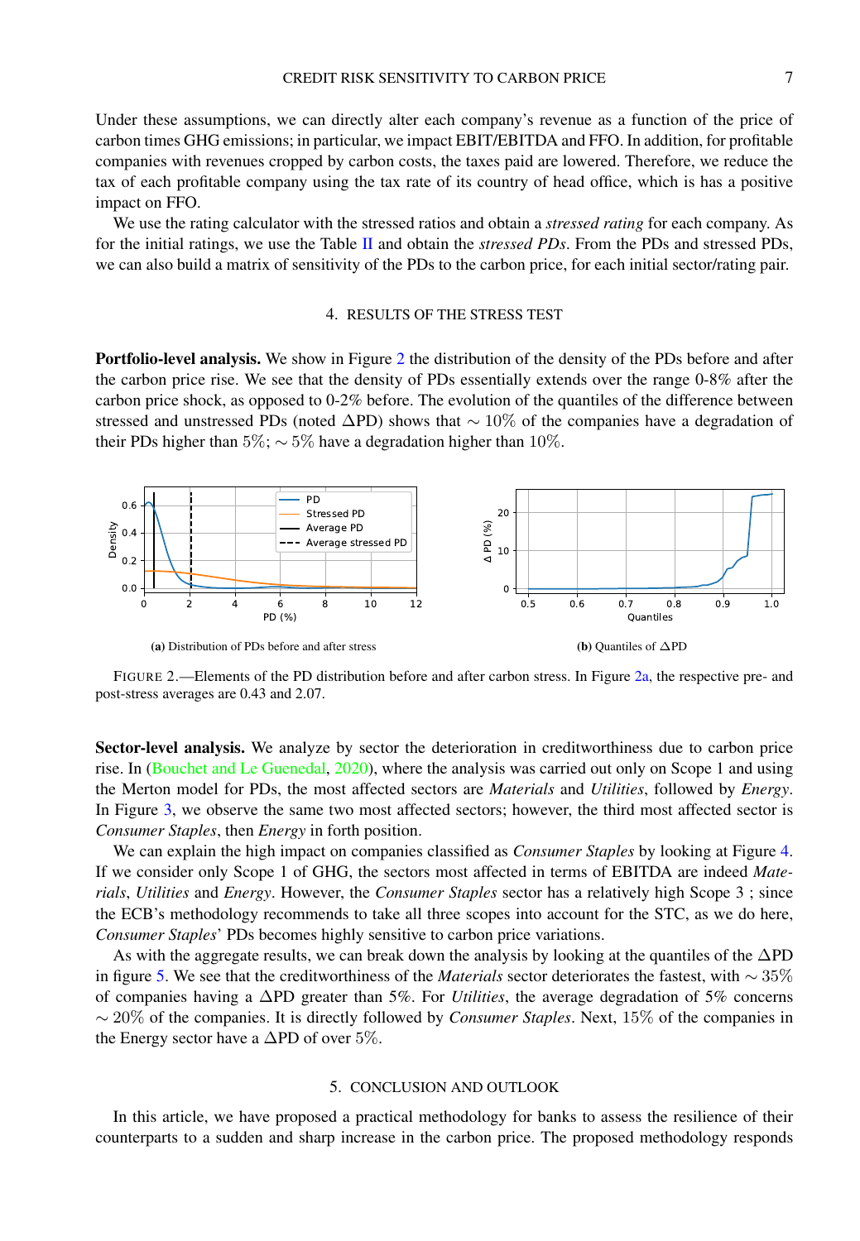Under these assumptions, we can directly alter each company's revenue as a function of the price of carbon times GHG emissions; in particular, we impact EBIT/EBITDA and FFO. In addition, for profitable companies with revenues cropped by carbon costs, the taxes paid are lowered. Therefore, we reduce the tax of each profitable company using the tax rate of its country of head office, which is has a positive impact on FFO.

We use the rating calculator with the stressed ratios and obtain a *stressed rating* for each company. As for the initial ratings, we use the Table [II](#page-6-1) and obtain the *stressed PDs*. From the PDs and stressed PDs, we can also build a matrix of sensitivity of the PDs to the carbon price, for each initial sector/rating pair.

### 4. RESULTS OF THE STRESS TEST

Portfolio-level analysis. We show in Figure [2](#page-7-0) the distribution of the density of the PDs before and after the carbon price rise. We see that the density of PDs essentially extends over the range 0-8% after the carbon price shock, as opposed to 0-2% before. The evolution of the quantiles of the difference between stressed and unstressed PDs (noted ∆PD) shows that ∼ 10% of the companies have a degradation of their PDs higher than 5%;  $\sim$  5% have a degradation higher than 10%.

<span id="page-7-0"></span>

FIGURE 2.—Elements of the PD distribution before and after carbon stress. In Figure [2a,](#page-7-0) the respective pre- and post-stress averages are 0.43 and 2.07.

Sector-level analysis. We analyze by sector the deterioration in creditworthiness due to carbon price rise. In [\(Bouchet and Le Guenedal,](#page-9-24) [2020\)](#page-9-24), where the analysis was carried out only on Scope 1 and using the Merton model for PDs, the most affected sectors are *Materials* and *Utilities*, followed by *Energy*. In Figure [3,](#page-8-0) we observe the same two most affected sectors; however, the third most affected sector is *Consumer Staples*, then *Energy* in forth position.

We can explain the high impact on companies classified as *Consumer Staples* by looking at Figure [4.](#page-8-1) If we consider only Scope 1 of GHG, the sectors most affected in terms of EBITDA are indeed *Materials*, *Utilities* and *Energy*. However, the *Consumer Staples* sector has a relatively high Scope 3 ; since the ECB's methodology recommends to take all three scopes into account for the STC, as we do here, *Consumer Staples*' PDs becomes highly sensitive to carbon price variations.

As with the aggregate results, we can break down the analysis by looking at the quantiles of the ∆PD in figure [5.](#page-8-2) We see that the creditworthiness of the *Materials* sector deteriorates the fastest, with ∼ 35% of companies having a ∆PD greater than 5%. For *Utilities*, the average degradation of 5% concerns ∼ 20% of the companies. It is directly followed by *Consumer Staples*. Next, 15% of the companies in the Energy sector have a  $\Delta$ PD of over 5%.

#### 5. CONCLUSION AND OUTLOOK

In this article, we have proposed a practical methodology for banks to assess the resilience of their counterparts to a sudden and sharp increase in the carbon price. The proposed methodology responds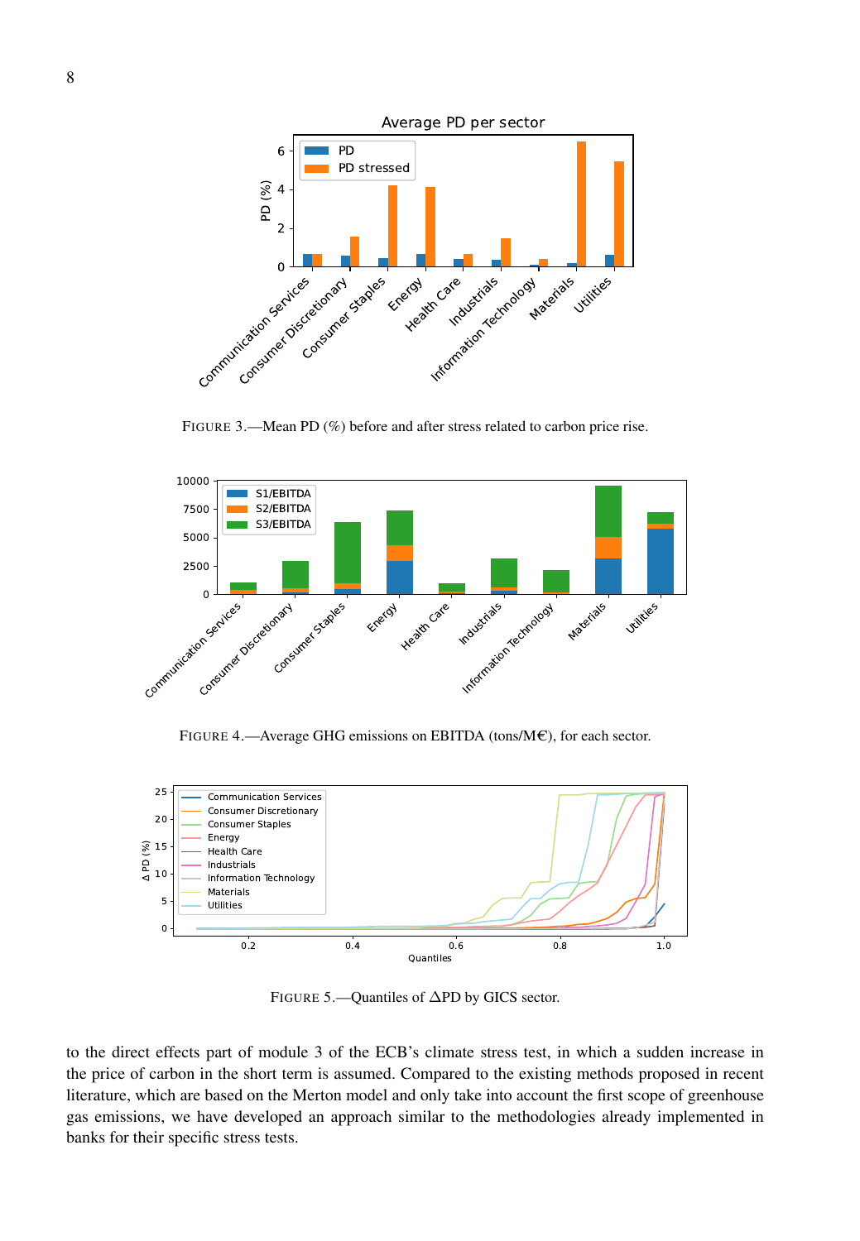<span id="page-8-0"></span>

FIGURE 3.—Mean PD (%) before and after stress related to carbon price rise.

<span id="page-8-1"></span>

FIGURE 4.—Average GHG emissions on EBITDA (tons/ $M\epsilon$ ), for each sector.

<span id="page-8-2"></span>

FIGURE 5.—Quantiles of ∆PD by GICS sector.

to the direct effects part of module 3 of the ECB's climate stress test, in which a sudden increase in the price of carbon in the short term is assumed. Compared to the existing methods proposed in recent literature, which are based on the Merton model and only take into account the first scope of greenhouse gas emissions, we have developed an approach similar to the methodologies already implemented in banks for their specific stress tests.